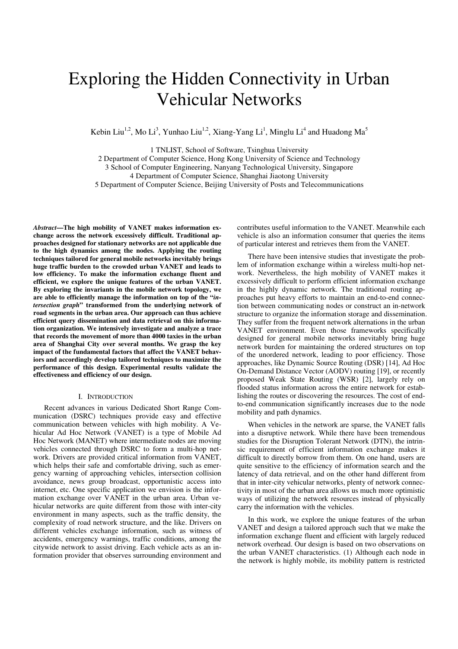# Exploring the Hidden Connectivity in Urban Vehicular Networks

Kebin Liu<sup>1,2</sup>, Mo Li<sup>3</sup>, Yunhao Liu<sup>1,2</sup>, Xiang-Yang Li<sup>1</sup>, Minglu Li<sup>4</sup> and Huadong Ma<sup>5</sup>

1 TNLIST, School of Software, Tsinghua University

2 Department of Computer Science, Hong Kong University of Science and Technology

3 School of Computer Engineering, Nanyang Technological University, Singapore

4 Department of Computer Science, Shanghai Jiaotong University

5 Department of Computer Science, Beijing University of Posts and Telecommunications

*Abstract***—The high mobility of VANET makes information exchange across the network excessively difficult. Traditional approaches designed for stationary networks are not applicable due to the high dynamics among the nodes. Applying the routing techniques tailored for general mobile networks inevitably brings huge traffic burden to the crowded urban VANET and leads to low efficiency. To make the information exchange fluent and efficient, we explore the unique features of the urban VANET. By exploring the invariants in the mobile network topology, we are able to efficiently manage the information on top of the "***intersection graph***" transformed from the underlying network of road segments in the urban area. Our approach can thus achieve efficient query dissemination and data retrieval on this information organization. We intensively investigate and analyze a trace that records the movement of more than 4000 taxies in the urban area of Shanghai City over several months. We grasp the key impact of the fundamental factors that affect the VANET behaviors and accordingly develop tailored techniques to maximize the performance of this design. Experimental results validate the effectiveness and efficiency of our design.** 

## I. INTRODUCTION

Recent advances in various Dedicated Short Range Communication (DSRC) techniques provide easy and effective communication between vehicles with high mobility. A Vehicular Ad Hoc Network (VANET) is a type of Mobile Ad Hoc Network (MANET) where intermediate nodes are moving vehicles connected through DSRC to form a multi-hop network. Drivers are provided critical information from VANET, which helps their safe and comfortable driving, such as emergency warning of approaching vehicles, intersection collision avoidance, news group broadcast, opportunistic access into internet, etc. One specific application we envision is the information exchange over VANET in the urban area. Urban vehicular networks are quite different from those with inter-city environment in many aspects, such as the traffic density, the complexity of road network structure, and the like. Drivers on different vehicles exchange information, such as witness of accidents, emergency warnings, traffic conditions, among the citywide network to assist driving. Each vehicle acts as an information provider that observes surrounding environment and

contributes useful information to the VANET. Meanwhile each vehicle is also an information consumer that queries the items of particular interest and retrieves them from the VANET.

There have been intensive studies that investigate the problem of information exchange within a wireless multi-hop network. Nevertheless, the high mobility of VANET makes it excessively difficult to perform efficient information exchange in the highly dynamic network. The traditional routing approaches put heavy efforts to maintain an end-to-end connection between communicating nodes or construct an in-network structure to organize the information storage and dissemination. They suffer from the frequent network alternations in the urban VANET environment. Even those frameworks specifically designed for general mobile networks inevitably bring huge network burden for maintaining the ordered structures on top of the unordered network, leading to poor efficiency. Those approaches, like Dynamic Source Routing (DSR) [14], Ad Hoc On-Demand Distance Vector (AODV) routing [19], or recently proposed Weak State Routing (WSR) [2], largely rely on flooded status information across the entire network for establishing the routes or discovering the resources. The cost of endto-end communication significantly increases due to the node mobility and path dynamics.

When vehicles in the network are sparse, the VANET falls into a disruptive network. While there have been tremendous studies for the Disruption Tolerant Network (DTN), the intrinsic requirement of efficient information exchange makes it difficult to directly borrow from them. On one hand, users are quite sensitive to the efficiency of information search and the latency of data retrieval, and on the other hand different from that in inter-city vehicular networks, plenty of network connectivity in most of the urban area allows us much more optimistic ways of utilizing the network resources instead of physically carry the information with the vehicles.

In this work, we explore the unique features of the urban VANET and design a tailored approach such that we make the information exchange fluent and efficient with largely reduced network overhead. Our design is based on two observations on the urban VANET characteristics. (1) Although each node in the network is highly mobile, its mobility pattern is restricted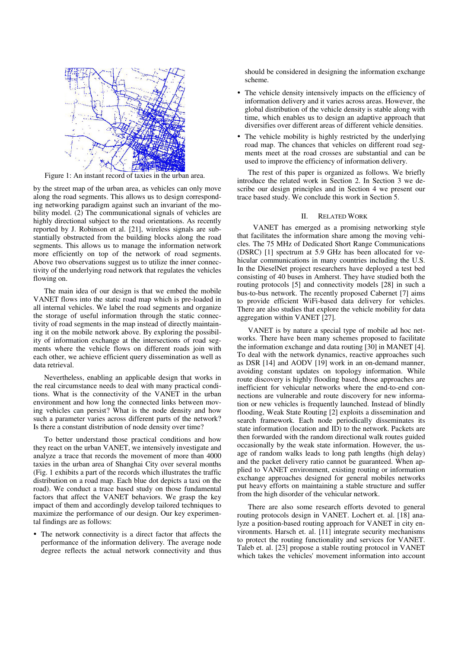

Figure 1: An instant record of taxies in the urban area.

by the street map of the urban area, as vehicles can only move along the road segments. This allows us to design corresponding networking paradigm against such an invariant of the mobility model. (2) The communicational signals of vehicles are highly directional subject to the road orientations. As recently reported by J. Robinson et al. [21], wireless signals are substantially obstructed from the building blocks along the road segments. This allows us to manage the information network more efficiently on top of the network of road segments. Above two observations suggest us to utilize the inner connectivity of the underlying road network that regulates the vehicles flowing on.

The main idea of our design is that we embed the mobile VANET flows into the static road map which is pre-loaded in all internal vehicles. We label the road segments and organize the storage of useful information through the static connectivity of road segments in the map instead of directly maintaining it on the mobile network above. By exploring the possibility of information exchange at the intersections of road segments where the vehicle flows on different roads join with each other, we achieve efficient query dissemination as well as data retrieval.

Nevertheless, enabling an applicable design that works in the real circumstance needs to deal with many practical conditions. What is the connectivity of the VANET in the urban environment and how long the connected links between moving vehicles can persist? What is the node density and how such a parameter varies across different parts of the network? Is there a constant distribution of node density over time?

To better understand those practical conditions and how they react on the urban VANET, we intensively investigate and analyze a trace that records the movement of more than 4000 taxies in the urban area of Shanghai City over several months (Fig. 1 exhibits a part of the records which illustrates the traffic distribution on a road map. Each blue dot depicts a taxi on the road). We conduct a trace based study on those fundamental factors that affect the VANET behaviors. We grasp the key impact of them and accordingly develop tailored techniques to maximize the performance of our design. Our key experimental findings are as follows:

 The network connectivity is a direct factor that affects the performance of the information delivery. The average node degree reflects the actual network connectivity and thus should be considered in designing the information exchange scheme.

- The vehicle density intensively impacts on the efficiency of information delivery and it varies across areas. However, the global distribution of the vehicle density is stable along with time, which enables us to design an adaptive approach that diversifies over different areas of different vehicle densities.
- The vehicle mobility is highly restricted by the underlying road map. The chances that vehicles on different road segments meet at the road crosses are substantial and can be used to improve the efficiency of information delivery.

The rest of this paper is organized as follows. We briefly introduce the related work in Section 2. In Section 3 we describe our design principles and in Section 4 we present our trace based study. We conclude this work in Section 5.

# II. RELATED WORK

VANET has emerged as a promising networking style that facilitates the information share among the moving vehicles. The 75 MHz of Dedicated Short Range Communications (DSRC) [1] spectrum at 5.9 GHz has been allocated for vehicular communications in many countries including the U.S. In the DieselNet project researchers have deployed a test bed consisting of 40 buses in Amherst. They have studied both the routing protocols [5] and connectivity models [28] in such a bus-to-bus network. The recently proposed Cabernet [7] aims to provide efficient WiFi-based data delivery for vehicles. There are also studies that explore the vehicle mobility for data aggregation within VANET [27].

VANET is by nature a special type of mobile ad hoc networks. There have been many schemes proposed to facilitate the information exchange and data routing [30] in MANET [4]. To deal with the network dynamics, reactive approaches such as DSR [14] and AODV [19] work in an on-demand manner, avoiding constant updates on topology information. While route discovery is highly flooding based, those approaches are inefficient for vehicular networks where the end-to-end connections are vulnerable and route discovery for new information or new vehicles is frequently launched. Instead of blindly flooding, Weak State Routing [2] exploits a dissemination and search framework. Each node periodically disseminates its state information (location and ID) to the network. Packets are then forwarded with the random directional walk routes guided occasionally by the weak state information. However, the usage of random walks leads to long path lengths (high delay) and the packet delivery ratio cannot be guaranteed. When applied to VANET environment, existing routing or information exchange approaches designed for general mobiles networks put heavy efforts on maintaining a stable structure and suffer from the high disorder of the vehicular network.

There are also some research efforts devoted to general routing protocols design in VANET. Lochert et. al. [18] analyze a position-based routing approach for VANET in city environments. Harsch et. al. [11] integrate security mechanisms to protect the routing functionality and services for VANET. Taleb et. al. [23] propose a stable routing protocol in VANET which takes the vehicles' movement information into account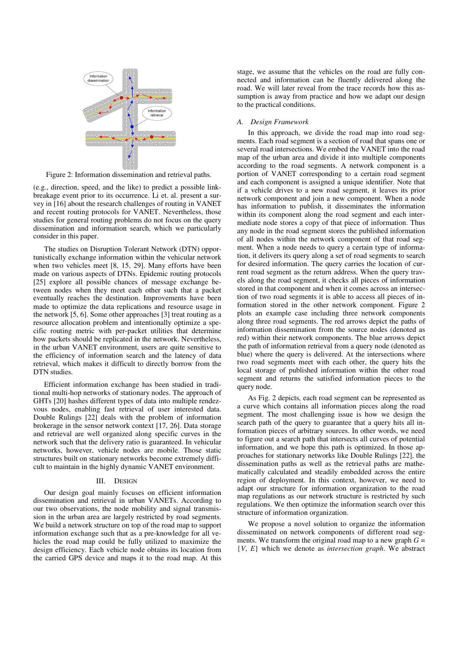

Figure 2: Information dissemination and retrieval paths.

(e.g., direction, speed, and the like) to predict a possible linkbreakage event prior to its occurrence. Li et. al. present a survey in [16] about the research challenges of routing in VANET and recent routing protocols for VANET. Nevertheless, those studies for general routing problems do not focus on the query dissemination and information search, which we particularly consider in this paper.

The studies on Disruption Tolerant Network (DTN) opportunistically exchange information within the vehicular network when two vehicles meet [8, 15, 29]. Many efforts have been made on various aspects of DTNs. Epidemic routing protocols [25] explore all possible chances of message exchange between nodes when they meet each other such that a packet eventually reaches the destination. Improvements have been made to optimize the data replications and resource usage in the network [5, 6]. Some other approaches [3] treat routing as a resource allocation problem and intentionally optimize a specific routing metric with per-packet utilities that determine how packets should be replicated in the network. Nevertheless, in the urban VANET environment, users are quite sensitive to the efficiency of information search and the latency of data retrieval, which makes it difficult to directly borrow from the DTN studies.

Efficient information exchange has been studied in traditional multi-hop networks of stationary nodes. The approach of GHTs [20] hashes different types of data into multiple rendezvous nodes, enabling fast retrieval of user interested data. Double Rulings [22] deals with the problem of information brokerage in the sensor network context [17, 26]. Data storage and retrieval are well organized along specific curves in the network such that the delivery ratio is guaranteed. In vehicular networks, however, vehicle nodes are mobile. Those static structures built on stationary networks become extremely difficult to maintain in the highly dynamic VANET environment.

#### III. DESIGN

Our design goal mainly focuses on efficient information dissemination and retrieval in urban VANETs. According to our two observations, the node mobility and signal transmission in the urban area are largely restricted by road segments. We build a network structure on top of the road map to support information exchange such that as a pre-knowledge for all vehicles the road map could be fully utilized to maximize the design efficiency. Each vehicle node obtains its location from the carried GPS device and maps it to the road map. At this stage, we assume that the vehicles on the road are fully connected and information can be fluently delivered along the road. We will later reveal from the trace records how this assumption is away from practice and how we adapt our design to the practical conditions.

## *A. Design Framework*

In this approach, we divide the road map into road segments. Each road segment is a section of road that spans one or several road intersections. We embed the VANET into the road map of the urban area and divide it into multiple components according to the road segments. A network component is a portion of VANET corresponding to a certain road segment and each component is assigned a unique identifier. Note that if a vehicle drives to a new road segment, it leaves its prior network component and join a new component. When a node has information to publish, it disseminates the information within its component along the road segment and each intermediate node stores a copy of that piece of information. Thus any node in the road segment stores the published information of all nodes within the network component of that road segment. When a node needs to query a certain type of information, it delivers its query along a set of road segments to search for desired information. The query carries the location of current road segment as the return address. When the query travels along the road segment, it checks all pieces of information stored in that component and when it comes across an intersection of two road segments it is able to access all pieces of information stored in the other network component. Figure 2 plots an example case including three network components along three road segments. The red arrows depict the paths of information dissemination from the source nodes (denoted as red) within their network components. The blue arrows depict the path of information retrieval from a query node (denoted as blue) where the query is delivered. At the intersections where two road segments meet with each other, the query hits the local storage of published information within the other road segment and returns the satisfied information pieces to the query node.

As Fig. 2 depicts, each road segment can be represented as a curve which contains all information pieces along the road segment. The most challenging issue is how we design the search path of the query to guarantee that a query hits all information pieces of arbitrary sources. In other words, we need to figure out a search path that intersects all curves of potential information, and we hope this path is optimized. In those approaches for stationary networks like Double Rulings [22], the dissemination paths as well as the retrieval paths are mathematically calculated and steadily embedded across the entire region of deployment. In this context, however, we need to adapt our structure for information organization to the road map regulations as our network structure is restricted by such regulations. We then optimize the information search over this structure of information organization.

We propose a novel solution to organize the information disseminated on network components of different road segments. We transform the original road map to a new graph  $G =$ {*V*, *E*} which we denote as *intersection graph*. We abstract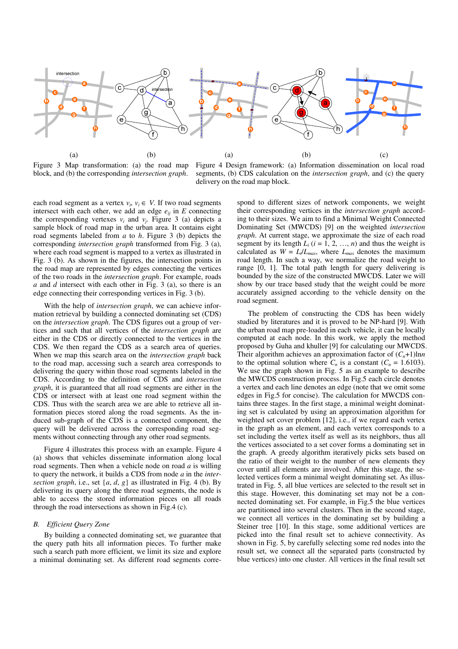

Figure 3 Map transformation: (a) the road map block, and (b) the corresponding *intersection graph*.

Figure 4 Design framework: (a) Information dissemination on local road segments, (b) CDS calculation on the *intersection graph*, and (c) the query delivery on the road map block.

each road segment as a vertex  $v_i$ ,  $v_i \in V$ . If two road segments intersect with each other, we add an edge  $e_{ij}$  in  $E$  connecting the corresponding vertexes  $v_i$  and  $v_j$ . Figure 3 (a) depicts a sample block of road map in the urban area. It contains eight road segments labeled from *a* to *h*. Figure 3 (b) depicts the corresponding *intersection graph* transformed from Fig. 3 (a), where each road segment is mapped to a vertex as illustrated in Fig. 3 (b). As shown in the figures, the intersection points in the road map are represented by edges connecting the vertices of the two roads in the *intersection graph*. For example, roads *a* and *d* intersect with each other in Fig. 3 (a), so there is an edge connecting their corresponding vertices in Fig. 3 (b).

With the help of *intersection graph*, we can achieve information retrieval by building a connected dominating set (CDS) on the *intersection graph*. The CDS figures out a group of vertices and such that all vertices of the *intersection graph* are either in the CDS or directly connected to the vertices in the CDS. We then regard the CDS as a search area of queries. When we map this search area on the *intersection graph* back to the road map, accessing such a search area corresponds to delivering the query within those road segments labeled in the CDS. According to the definition of CDS and *intersection graph*, it is guaranteed that all road segments are either in the CDS or intersect with at least one road segment within the CDS. Thus with the search area we are able to retrieve all information pieces stored along the road segments. As the induced sub-graph of the CDS is a connected component, the query will be delivered across the corresponding road segments without connecting through any other road segments.

Figure 4 illustrates this process with an example. Figure 4 (a) shows that vehicles disseminate information along local road segments. Then when a vehicle node on road *a* is willing to query the network, it builds a CDS from node *a* in the *intersection graph*, i.e., set  $\{a, d, g\}$  as illustrated in Fig. 4 (b). By delivering its query along the three road segments, the node is able to access the stored information pieces on all roads through the road intersections as shown in Fig.4 (c).

# *B. Efficient Query Zone*

By building a connected dominating set, we guarantee that the query path hits all information pieces. To further make such a search path more efficient, we limit its size and explore a minimal dominating set. As different road segments correspond to different sizes of network components, we weight their corresponding vertices in the *intersection graph* according to their sizes. We aim to find a Minimal Weight Connected Dominating Set (MWCDS) [9] on the weighted *intersection graph*. At current stage, we approximate the size of each road segment by its length  $L_i$  ( $i = 1, 2, ..., n$ ) and thus the weight is calculated as  $W = L_i/L_{max}$ , where  $L_{max}$  denotes the maximum road length. In such a way, we normalize the road weight to range [0, 1]. The total path length for query delivering is bounded by the size of the constructed MWCDS. Later we will show by our trace based study that the weight could be more accurately assigned according to the vehicle density on the road segment.

The problem of constructing the CDS has been widely studied by literatures and it is proved to be NP-hard [9]. With the urban road map pre-loaded in each vehicle, it can be locally computed at each node. In this work, we apply the method proposed by Guha and khuller [9] for calculating our MWCDS. Their algorithm achieves an approximation factor of  $(C_n+1)$ lnn to the optimal solution where  $C_n$  is a constant  $(C_n = 1.6103)$ . We use the graph shown in Fig. 5 as an example to describe the MWCDS construction process. In Fig.5 each circle denotes a vertex and each line denotes an edge (note that we omit some edges in Fig.5 for concise). The calculation for MWCDS contains three stages. In the first stage, a minimal weight dominating set is calculated by using an approximation algorithm for weighted set cover problem [12], i.e., if we regard each vertex in the graph as an element, and each vertex corresponds to a set including the vertex itself as well as its neighbors, thus all the vertices associated to a set cover forms a dominating set in the graph. A greedy algorithm iteratively picks sets based on the ratio of their weight to the number of new elements they cover until all elements are involved. After this stage, the selected vertices form a minimal weight dominating set. As illustrated in Fig. 5, all blue vertices are selected to the result set in this stage. However, this dominating set may not be a connected dominating set. For example, in Fig.5 the blue vertices are partitioned into several clusters. Then in the second stage, we connect all vertices in the dominating set by building a Steiner tree [10]. In this stage, some additional vertices are picked into the final result set to achieve connectivity. As shown in Fig. 5, by carefully selecting some red nodes into the result set, we connect all the separated parts (constructed by blue vertices) into one cluster. All vertices in the final result set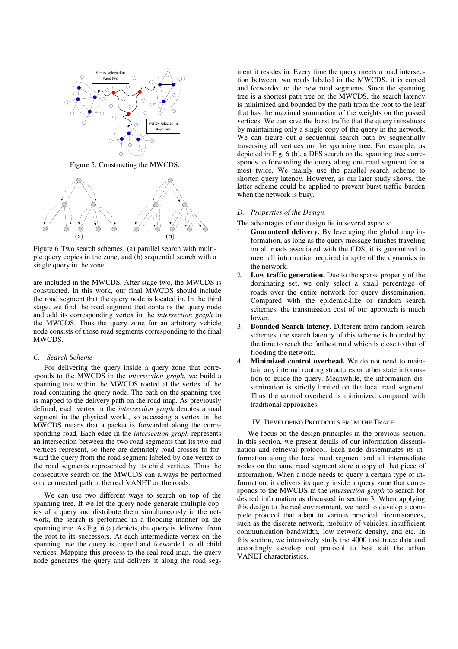

Figure 5: Constructing the MWCDS.



Figure 6 Two search schemes: (a) parallel search with multiple query copies in the zone, and (b) sequential search with a single query in the zone.

are included in the MWCDS. After stage two, the MWCDS is constructed. In this work, our final MWCDS should include the road segment that the query node is located in. In the third stage, we find the road segment that contains the query node and add its corresponding vertex in the *intersection graph* to the MWCDS. Thus the query zone for an arbitrary vehicle node consists of those road segments corresponding to the final MWCDS.

# *C. Search Scheme*

For delivering the query inside a query zone that corresponds to the MWCDS in the *intersection graph*, we build a spanning tree within the MWCDS rooted at the vertex of the road containing the query node. The path on the spanning tree is mapped to the delivery path on the road map. As previously defined, each vertex in the *intersection graph* denotes a road segment in the physical world, so accessing a vertex in the MWCDS means that a packet is forwarded along the corresponding road. Each edge in the *intersection graph* represents an intersection between the two road segments that its two end vertices represent, so there are definitely road crosses to forward the query from the road segment labeled by one vertex to the road segments represented by its child vertices. Thus the consecutive search on the MWCDS can always be performed on a connected path in the real VANET on the roads.

We can use two different ways to search on top of the spanning tree. If we let the query node generate multiple copies of a query and distribute them simultaneously in the network, the search is performed in a flooding manner on the spanning tree. As Fig. 6 (a) depicts, the query is delivered from the root to its successors. At each intermediate vertex on the spanning tree the query is copied and forwarded to all child vertices. Mapping this process to the real road map, the query node generates the query and delivers it along the road segment it resides in. Every time the query meets a road intersection between two roads labeled in the MWCDS, it is copied and forwarded to the new road segments. Since the spanning tree is a shortest path tree on the MWCDS, the search latency is minimized and bounded by the path from the root to the leaf that has the maximal summation of the weights on the passed vertices. We can save the burst traffic that the query introduces by maintaining only a single copy of the query in the network. We can figure out a sequential search path by sequentially traversing all vertices on the spanning tree. For example, as depicted in Fig. 6 (b), a DFS search on the spanning tree corresponds to forwarding the query along one road segment for at most twice. We mainly use the parallel search scheme to shorten query latency. However, as our later study shows, the latter scheme could be applied to prevent burst traffic burden when the network is busy.

## *D. Properties of the Design*

The advantages of our design lie in several aspects:

- 1. **Guaranteed delivery.** By leveraging the global map information, as long as the query message finishes traveling on all roads associated with the CDS, it is guaranteed to meet all information required in spite of the dynamics in the network.
- 2. **Low traffic generation.** Due to the sparse property of the dominating set, we only select a small percentage of roads over the entire network for query dissemination. Compared with the epidemic-like or random search schemes, the transmission cost of our approach is much lower.
- **Bounded Search latency.** Different from random search schemes, the search latency of this scheme is bounded by the time to reach the farthest road which is close to that of flooding the network.
- 4. **Minimized control overhead.** We do not need to maintain any internal routing structures or other state information to guide the query. Meanwhile, the information dissemination is strictly limited on the local road segment. Thus the control overhead is minimized compared with traditional approaches.

## IV. DEVELOPING PROTOCOLS FROM THE TRACE

We focus on the design principles in the previous section. In this section, we present details of our information dissemination and retrieval protocol. Each node disseminates its information along the local road segment and all intermediate nodes on the same road segment store a copy of that piece of information. When a node needs to query a certain type of information, it delivers its query inside a query zone that corresponds to the MWCDS in the *intersection graph* to search for desired information as discussed in section 3. When applying this design to the real environment, we need to develop a complete protocol that adapt to various practical circumstances, such as the discrete network, mobility of vehicles, insufficient communication bandwidth, low network density, and etc. In this section, we intensively study the 4000 taxi trace data and accordingly develop out protocol to best suit the urban VANET characteristics.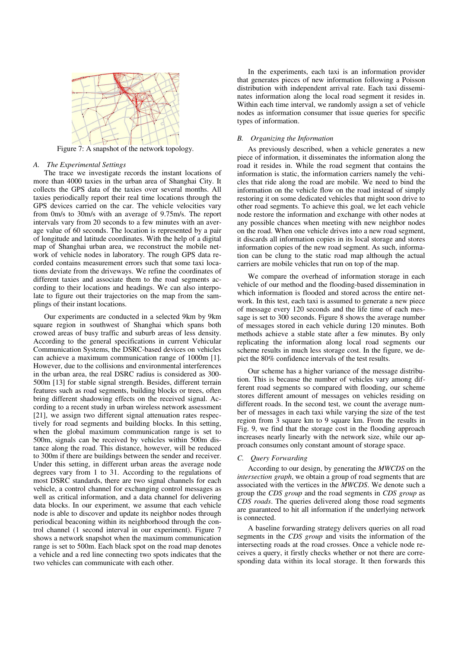

Figure 7: A snapshot of the network topology.

# *A. The Experimental Settings*

The trace we investigate records the instant locations of more than 4000 taxies in the urban area of Shanghai City. It collects the GPS data of the taxies over several months. All taxies periodically report their real time locations through the GPS devices carried on the car. The vehicle velocities vary from 0m/s to 30m/s with an average of 9.75m/s. The report intervals vary from 20 seconds to a few minutes with an average value of 60 seconds. The location is represented by a pair of longitude and latitude coordinates. With the help of a digital map of Shanghai urban area, we reconstruct the mobile network of vehicle nodes in laboratory. The rough GPS data recorded contains measurement errors such that some taxi locations deviate from the driveways. We refine the coordinates of different taxies and associate them to the road segments according to their locations and headings. We can also interpolate to figure out their trajectories on the map from the samplings of their instant locations.

Our experiments are conducted in a selected 9km by 9km square region in southwest of Shanghai which spans both crowed areas of busy traffic and suburb areas of less density. According to the general specifications in current Vehicular Communication Systems, the DSRC-based devices on vehicles can achieve a maximum communication range of 1000m [1]. However, due to the collisions and environmental interferences in the urban area, the real DSRC radius is considered as 300- 500m [13] for stable signal strength. Besides, different terrain features such as road segments, building blocks or trees, often bring different shadowing effects on the received signal. According to a recent study in urban wireless network assessment [21], we assign two different signal attenuation rates respectively for road segments and building blocks. In this setting, when the global maximum communication range is set to 500m, signals can be received by vehicles within 500m distance along the road. This distance, however, will be reduced to 300m if there are buildings between the sender and receiver. Under this setting, in different urban areas the average node degrees vary from 1 to 31. According to the regulations of most DSRC standards, there are two signal channels for each vehicle, a control channel for exchanging control messages as well as critical information, and a data channel for delivering data blocks. In our experiment, we assume that each vehicle node is able to discover and update its neighbor nodes through periodical beaconing within its neighborhood through the control channel (1 second interval in our experiment). Figure 7 shows a network snapshot when the maximum communication range is set to 500m. Each black spot on the road map denotes a vehicle and a red line connecting two spots indicates that the two vehicles can communicate with each other.

In the experiments, each taxi is an information provider that generates pieces of new information following a Poisson distribution with independent arrival rate. Each taxi disseminates information along the local road segment it resides in. Within each time interval, we randomly assign a set of vehicle nodes as information consumer that issue queries for specific types of information.

# *B. Organizing the Information*

As previously described, when a vehicle generates a new piece of information, it disseminates the information along the road it resides in. While the road segment that contains the information is static, the information carriers namely the vehicles that ride along the road are mobile. We need to bind the information on the vehicle flow on the road instead of simply restoring it on some dedicated vehicles that might soon drive to other road segments. To achieve this goal, we let each vehicle node restore the information and exchange with other nodes at any possible chances when meeting with new neighbor nodes on the road. When one vehicle drives into a new road segment, it discards all information copies in its local storage and stores information copies of the new road segment. As such, information can be clung to the static road map although the actual carriers are mobile vehicles that run on top of the map.

We compare the overhead of information storage in each vehicle of our method and the flooding-based dissemination in which information is flooded and stored across the entire network. In this test, each taxi is assumed to generate a new piece of message every 120 seconds and the life time of each message is set to 300 seconds. Figure 8 shows the average number of messages stored in each vehicle during 120 minutes. Both methods achieve a stable state after a few minutes. By only replicating the information along local road segments our scheme results in much less storage cost. In the figure, we depict the 80% confidence intervals of the test results.

Our scheme has a higher variance of the message distribution. This is because the number of vehicles vary among different road segments so compared with flooding, our scheme stores different amount of messages on vehicles residing on different roads. In the second test, we count the average number of messages in each taxi while varying the size of the test region from 3 square km to 9 square km. From the results in Fig. 9, we find that the storage cost in the flooding approach increases nearly linearly with the network size, while our approach consumes only constant amount of storage space.

# *C. Query Forwarding*

According to our design, by generating the *MWCDS* on the *intersection graph*, we obtain a group of road segments that are associated with the vertices in the *MWCDS*. We denote such a group the *CDS group* and the road segments in *CDS group* as *CDS roads*. The queries delivered along those road segments are guaranteed to hit all information if the underlying network is connected.

A baseline forwarding strategy delivers queries on all road segments in the *CDS group* and visits the information of the intersecting roads at the road crosses. Once a vehicle node receives a query, it firstly checks whether or not there are corresponding data within its local storage. It then forwards this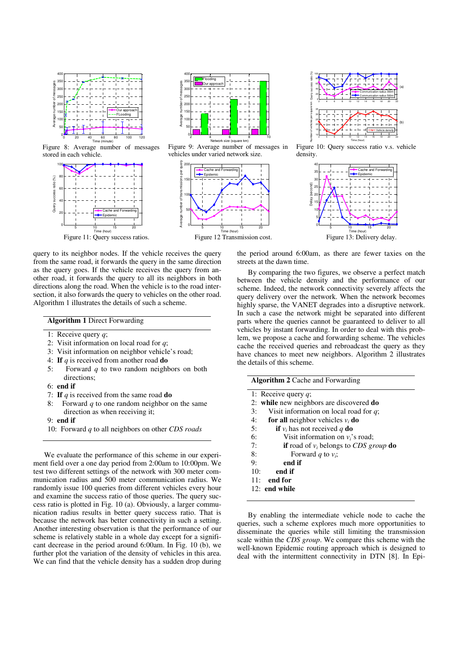

Figure 8: Average number of messages stored in each vehicle.





Figure 9: Average number of messages in vehicles under varied network size.





Figure 10: Query success ratio v.s. vehicle density.



Figure 13: Delivery delay.

query to its neighbor nodes. If the vehicle receives the query from the same road, it forwards the query in the same direction as the query goes. If the vehicle receives the query from another road, it forwards the query to all its neighbors in both directions along the road. When the vehicle is to the road intersection, it also forwards the query to vehicles on the other road. Algorithm 1 illustrates the details of such a scheme.

## **Algorithm 1** Direct Forwarding

- 1: Receive query *q*;
- 2: Visit information on local road for *q*;
- 3: Visit information on neighbor vehicle's road;
- 4: **If** *q* is received from another road **do**
- 5: Forward *q* to two random neighbors on both directions;
- 6: **end if**
- 7: **If** *q* is received from the same road **do**
- 8: Forward *q* to one random neighbor on the same direction as when receiving it;
- 9: **end if**
- 10: Forward *q* to all neighbors on other *CDS roads*

We evaluate the performance of this scheme in our experiment field over a one day period from 2:00am to 10:00pm. We test two different settings of the network with 300 meter communication radius and 500 meter communication radius. We randomly issue 100 queries from different vehicles every hour and examine the success ratio of those queries. The query success ratio is plotted in Fig. 10 (a). Obviously, a larger communication radius results in better query success ratio. That is because the network has better connectivity in such a setting. Another interesting observation is that the performance of our scheme is relatively stable in a whole day except for a significant decrease in the period around 6:00am. In Fig. 10 (b), we further plot the variation of the density of vehicles in this area. We can find that the vehicle density has a sudden drop during the period around 6:00am, as there are fewer taxies on the streets at the dawn time.

By comparing the two figures, we observe a perfect match between the vehicle density and the performance of our scheme. Indeed, the network connectivity severely affects the query delivery over the network. When the network becomes highly sparse, the VANET degrades into a disruptive network. In such a case the network might be separated into different parts where the queries cannot be guaranteed to deliver to all vehicles by instant forwarding. In order to deal with this problem, we propose a cache and forwarding scheme. The vehicles cache the received queries and rebroadcast the query as they have chances to meet new neighbors. Algorithm 2 illustrates the details of this scheme.

| Algorithm 2 Cache and Forwarding |  |  |  |
|----------------------------------|--|--|--|
|----------------------------------|--|--|--|

| 1: Receive query $q$ ;                                       |
|--------------------------------------------------------------|
| 2: while new neighbors are discovered do                     |
| 3:<br>Visit information on local road for $q$ ;              |
| 4:<br><b>for all</b> neighbor vehicles $v_i$ <b>do</b>       |
| 5:<br><b>if</b> $v_i$ has not received q <b>do</b>           |
| 6:<br>Visit information on $v_i$ 's road;                    |
| 7:<br><b>if</b> road of $v_i$ belongs to CDS group <b>do</b> |
| 8:<br>Forward q to $v_i$ ;                                   |
| 9:<br>end if                                                 |
| 10:<br>end if                                                |
| end for<br>11:                                               |
| $12:$ end while                                              |
|                                                              |

By enabling the intermediate vehicle node to cache the queries, such a scheme explores much more opportunities to disseminate the queries while still limiting the transmission scale within the *CDS group*. We compare this scheme with the well-known Epidemic routing approach which is designed to deal with the intermittent connectivity in DTN [8]. In Epi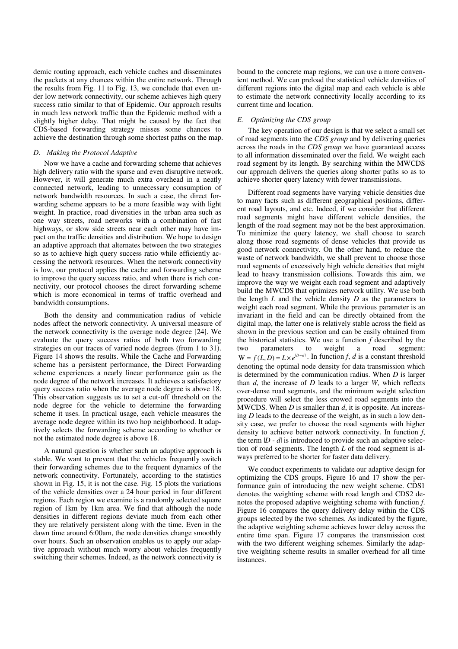demic routing approach, each vehicle caches and disseminates the packets at any chances within the entire network. Through the results from Fig. 11 to Fig. 13, we conclude that even under low network connectivity, our scheme achieves high query success ratio similar to that of Epidemic. Our approach results in much less network traffic than the Epidemic method with a slightly higher delay. That might be caused by the fact that CDS-based forwarding strategy misses some chances to achieve the destination through some shortest paths on the map.

## *D. Making the Protocol Adaptive*

Now we have a cache and forwarding scheme that achieves high delivery ratio with the sparse and even disruptive network. However, it will generate much extra overhead in a neatly connected network, leading to unnecessary consumption of network bandwidth resources. In such a case, the direct forwarding scheme appears to be a more feasible way with light weight. In practice, road diversities in the urban area such as one way streets, road networks with a combination of fast highways, or slow side streets near each other may have impact on the traffic densities and distribution. We hope to design an adaptive approach that alternates between the two strategies so as to achieve high query success ratio while efficiently accessing the network resources. When the network connectivity is low, our protocol applies the cache and forwarding scheme to improve the query success ratio, and when there is rich connectivity, our protocol chooses the direct forwarding scheme which is more economical in terms of traffic overhead and bandwidth consumptions.

Both the density and communication radius of vehicle nodes affect the network connectivity. A universal measure of the network connectivity is the average node degree [24]. We evaluate the query success ratios of both two forwarding strategies on our traces of varied node degrees (from 1 to 31). Figure 14 shows the results. While the Cache and Forwarding scheme has a persistent performance, the Direct Forwarding scheme experiences a nearly linear performance gain as the node degree of the network increases. It achieves a satisfactory query success ratio when the average node degree is above 18. This observation suggests us to set a cut-off threshold on the node degree for the vehicle to determine the forwarding scheme it uses. In practical usage, each vehicle measures the average node degree within its two hop neighborhood. It adaptively selects the forwarding scheme according to whether or not the estimated node degree is above 18.

A natural question is whether such an adaptive approach is stable. We want to prevent that the vehicles frequently switch their forwarding schemes due to the frequent dynamics of the network connectivity. Fortunately, according to the statistics shown in Fig. 15, it is not the case. Fig. 15 plots the variations of the vehicle densities over a 24 hour period in four different regions. Each region we examine is a randomly selected square region of 1km by 1km area. We find that although the node densities in different regions deviate much from each other they are relatively persistent along with the time. Even in the dawn time around 6:00am, the node densities change smoothly over hours. Such an observation enables us to apply our adaptive approach without much worry about vehicles frequently switching their schemes. Indeed, as the network connectivity is

bound to the concrete map regions, we can use a more convenient method. We can preload the statistical vehicle densities of different regions into the digital map and each vehicle is able to estimate the network connectivity locally according to its current time and location.

## *E. Optimizing the CDS group*

The key operation of our design is that we select a small set of road segments into the *CDS group* and by delivering queries across the roads in the *CDS group* we have guaranteed access to all information disseminated over the field. We weight each road segment by its length. By searching within the MWCDS our approach delivers the queries along shorter paths so as to achieve shorter query latency with fewer transmissions.

Different road segments have varying vehicle densities due to many facts such as different geographical positions, different road layouts, and etc. Indeed, if we consider that different road segments might have different vehicle densities, the length of the road segment may not be the best approximation. To minimize the query latency, we shall choose to search along those road segments of dense vehicles that provide us good network connectivity. On the other hand, to reduce the waste of network bandwidth, we shall prevent to choose those road segments of excessively high vehicle densities that might lead to heavy transmission collisions. Towards this aim, we improve the way we weight each road segment and adaptively build the MWCDS that optimizes network utility. We use both the length *L* and the vehicle density *D* as the parameters to weight each road segment. While the previous parameter is an invariant in the field and can be directly obtained from the digital map, the latter one is relatively stable across the field as shown in the previous section and can be easily obtained from the historical statistics. We use a function *f* described by the two parameters to weight a road segment:  $W = f(L, D) = L \times e^{|D-d|}$ . In function *f*, *d* is a constant threshold denoting the optimal node density for data transmission which is determined by the communication radius. When *D* is larger than *d*, the increase of *D* leads to a larger *W*, which reflects over-dense road segments, and the minimum weight selection procedure will select the less crowed road segments into the MWCDS. When *D* is smaller than *d*, it is opposite. An increasing *D* leads to the decrease of the weight, as in such a low density case, we prefer to choose the road segments with higher density to achieve better network connectivity. In function *f*, the term  $|D - d|$  is introduced to provide such an adaptive selection of road segments. The length *L* of the road segment is always preferred to be shorter for faster data delivery.

We conduct experiments to validate our adaptive design for optimizing the CDS groups. Figure 16 and 17 show the performance gain of introducing the new weight scheme. CDS1 denotes the weighting scheme with road length and CDS2 denotes the proposed adaptive weighting scheme with function *f*. Figure 16 compares the query delivery delay within the CDS groups selected by the two schemes. As indicated by the figure, the adaptive weighting scheme achieves lower delay across the entire time span. Figure 17 compares the transmission cost with the two different weighing schemes. Similarly the adaptive weighting scheme results in smaller overhead for all time instances.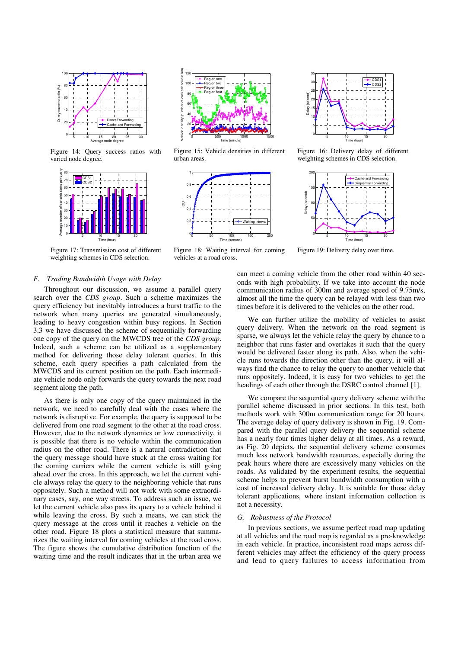

Figure 14: Query success ratios with varied node degree.



Figure 17: Transmission cost of different weighting schemes in CDS selection.



Figure 15: Vehicle densities in different urban areas.



Figure 18: Waiting interval for coming vehicles at a road cross.



Figure 16: Delivery delay of different weighting schemes in CDS selection.



Figure 19: Delivery delay over time.

# *F. Trading Bandwidth Usage with Delay*

Throughout our discussion, we assume a parallel query search over the *CDS group*. Such a scheme maximizes the query efficiency but inevitably introduces a burst traffic to the network when many queries are generated simultaneously, leading to heavy congestion within busy regions. In Section 3.3 we have discussed the scheme of sequentially forwarding one copy of the query on the MWCDS tree of the *CDS group*. Indeed, such a scheme can be utilized as a supplementary method for delivering those delay tolerant queries. In this scheme, each query specifies a path calculated from the MWCDS and its current position on the path. Each intermediate vehicle node only forwards the query towards the next road segment along the path.

As there is only one copy of the query maintained in the network, we need to carefully deal with the cases where the network is disruptive. For example, the query is supposed to be delivered from one road segment to the other at the road cross. However, due to the network dynamics or low connectivity, it is possible that there is no vehicle within the communication radius on the other road. There is a natural contradiction that the query message should have stuck at the cross waiting for the coming carriers while the current vehicle is still going ahead over the cross. In this approach, we let the current vehicle always relay the query to the neighboring vehicle that runs oppositely. Such a method will not work with some extraordinary cases, say, one way streets. To address such an issue, we let the current vehicle also pass its query to a vehicle behind it while leaving the cross. By such a means, we can stick the query message at the cross until it reaches a vehicle on the other road. Figure 18 plots a statistical measure that summarizes the waiting interval for coming vehicles at the road cross. The figure shows the cumulative distribution function of the waiting time and the result indicates that in the urban area we

can meet a coming vehicle from the other road within 40 seconds with high probability. If we take into account the node communication radius of 300m and average speed of 9.75m/s, almost all the time the query can be relayed with less than two times before it is delivered to the vehicles on the other road.

We can further utilize the mobility of vehicles to assist query delivery. When the network on the road segment is sparse, we always let the vehicle relay the query by chance to a neighbor that runs faster and overtakes it such that the query would be delivered faster along its path. Also, when the vehicle runs towards the direction other than the query, it will always find the chance to relay the query to another vehicle that runs oppositely. Indeed, it is easy for two vehicles to get the headings of each other through the DSRC control channel [1].

We compare the sequential query delivery scheme with the parallel scheme discussed in prior sections. In this test, both methods work with 300m communication range for 20 hours. The average delay of query delivery is shown in Fig. 19. Compared with the parallel query delivery the sequential scheme has a nearly four times higher delay at all times. As a reward, as Fig. 20 depicts, the sequential delivery scheme consumes much less network bandwidth resources, especially during the peak hours where there are excessively many vehicles on the roads. As validated by the experiment results, the sequential scheme helps to prevent burst bandwidth consumption with a cost of increased delivery delay. It is suitable for those delay tolerant applications, where instant information collection is not a necessity.

# *G. Robustness of the Protocol*

In previous sections, we assume perfect road map updating at all vehicles and the road map is regarded as a pre-knowledge in each vehicle. In practice, inconsistent road maps across different vehicles may affect the efficiency of the query process and lead to query failures to access information from